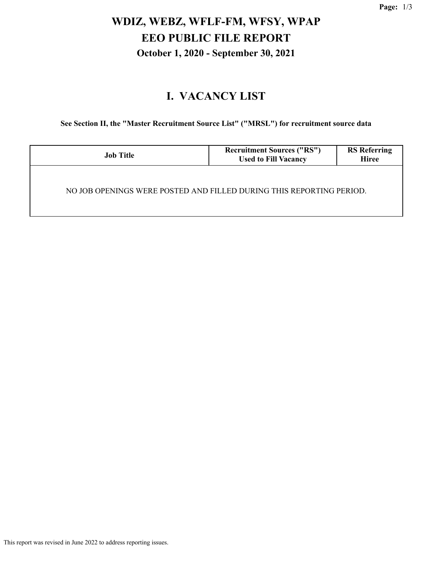# **WDIZ, WEBZ, WFLF-FM, WFSY, WPAP EEO PUBLIC FILE REPORT October 1, 2020 - September 30, 2021**

### **I. VACANCY LIST**

**See Section II, the "Master Recruitment Source List" ("MRSL") for recruitment source data**

| <b>Job Title</b>                                                     | <b>Recruitment Sources ("RS")</b><br><b>Used to Fill Vacancy</b> | <b>RS Referring</b><br><b>Hiree</b> |  |  |
|----------------------------------------------------------------------|------------------------------------------------------------------|-------------------------------------|--|--|
| NO JOB OPENINGS WERE POSTED AND FILLED DURING THIS REPORTING PERIOD. |                                                                  |                                     |  |  |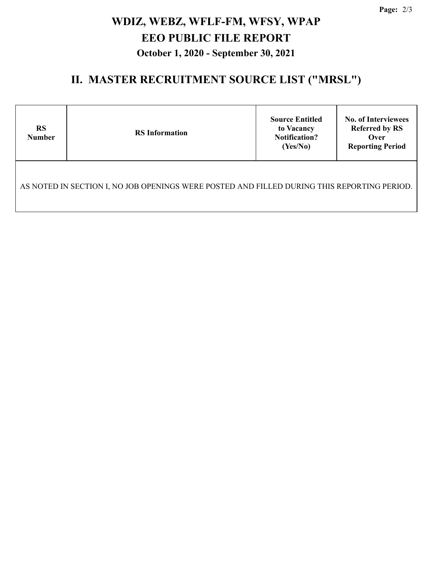**Page:** 2/3

# **WDIZ, WEBZ, WFLF-FM, WFSY, WPAP EEO PUBLIC FILE REPORT October 1, 2020 - September 30, 2021**

### **II. MASTER RECRUITMENT SOURCE LIST ("MRSL")**

| <b>RS</b><br><b>Number</b>                                                                  | <b>RS</b> Information | <b>Source Entitled</b><br>to Vacancy<br><b>Notification?</b><br>(Yes/No) | <b>No. of Interviewees</b><br><b>Referred by RS</b><br>Over<br><b>Reporting Period</b> |  |  |  |
|---------------------------------------------------------------------------------------------|-----------------------|--------------------------------------------------------------------------|----------------------------------------------------------------------------------------|--|--|--|
| AS NOTED IN SECTION I, NO JOB OPENINGS WERE POSTED AND FILLED DURING THIS REPORTING PERIOD. |                       |                                                                          |                                                                                        |  |  |  |